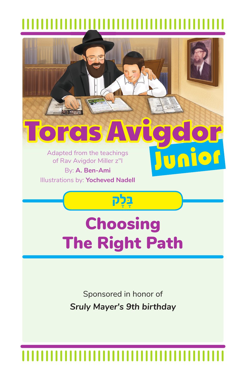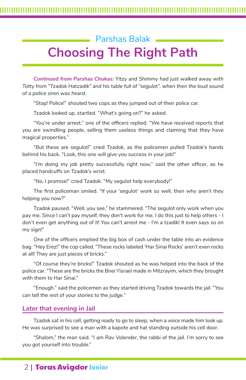# Parshas Balak **Choosing The Right Path**

*Continued from Parshas Chukas: Yitzy and Shimmy had just walked away with Totty from "Tzadok Hatzadik" and his table full of "segulot", when then the loud sound of a police siren was heard.*

"Stop! Police!" shouted two cops as they jumped out of their police car.

Tzadok looked up, startled. "What's going on?" he asked.

"You're under arrest," one of the officers replied. "We have received reports that you are swindling people, selling them useless things and claiming that they have magical properties."

"But these are segulot!" cried Tzadok, as the policemen pulled Tzadok's hands behind his back. "Look, this one will give you success in your job!"

"I'm doing my job pretty successfully right now," said the other officer, as he placed handcuffs on Tzadok's wrist.

"No, I promise!" cried Tzadok. "My segulot help everybody!"

The first policeman smiled. "If your 'segulot' work so well, then why aren't they helping you now?"

Tzadok paused. "Well, you see," he stammered. "The segulot only work when you pay me. Since I can't pay myself, they don't work for me. I do this just to help others - I don't even get anything out of it! You can't arrest me - I'm a tzadik! It even says so on my sign!"

One of the officers emptied the big box of cash under the table into an evidence bag. "Hey Erez!" the cop called. "These rocks labeled 'Har Sinai Rocks' aren't even rocks at all! They are just pieces of bricks."

"Of course they're bricks!" Tzadok shouted as he was helped into the back of the police car. "These are the bricks the Bnei Yisrael made in Mitzrayim, which they brought with them to Har Sinai."

"Enough." said the policemen as they started driving Tzadok towards the jail. "You can tell the rest of your stories to the judge."

### **Later that evening in Jail**

Tzadok sat in his cell, getting ready to go to sleep, when a voice made him look up. He was surprised to see a man with a kapote and hat standing outside his cell door.

"Shalom," the man said. "I am Rav Volender, the rabbi of the jail. I'm sorry to see you got yourself into trouble."

## 2 | Toras Avigdor Junior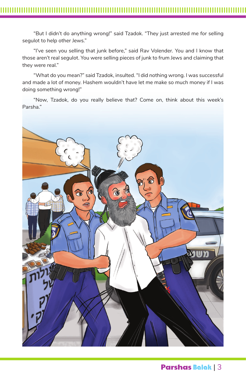"But I didn't do anything wrong!" said Tzadok. "They just arrested me for selling segulot to help other Jews."

"I've seen you selling that junk before," said Rav Volender. You and I know that those aren't real segulot. You were selling pieces of junk to frum Jews and claiming that they were real."

"What do you mean?" said Tzadok, insulted. "I did nothing wrong. I was successful and made a lot of money. Hashem wouldn't have let me make so much money if I was doing something wrong!"

"Now, Tzadok, do you really believe that? Come on, think about this week's Parsha."